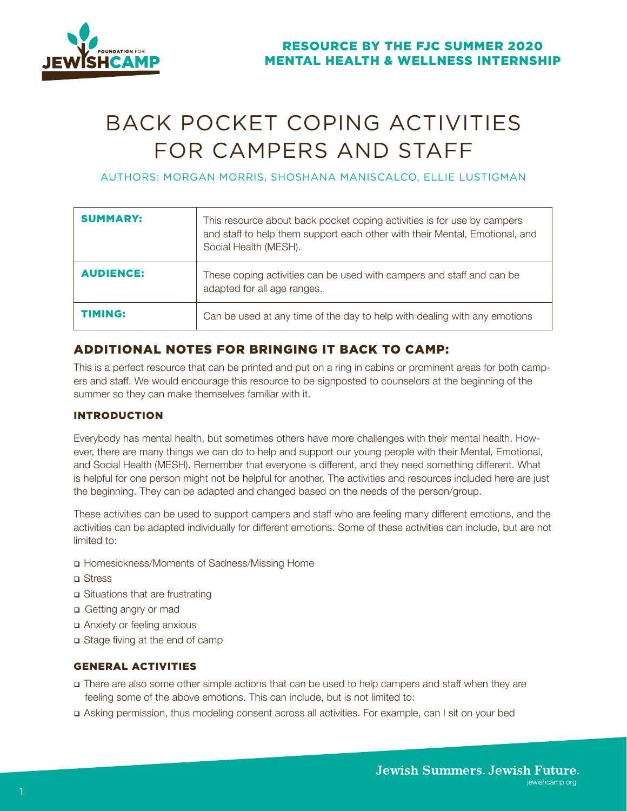

# BACK POCKET COPING ACTIVITIES FOR CAMPERS AND STAFF

AUTHORS: MORGAN MORRIS, SHOSHANA MANISCALCO, ELLIE LUSTIGMAN

| <b>SUMMARY:</b>  | This resource about back pocket coping activities is for use by campers<br>and staff to help them support each other with their Mental, Emotional, and<br>Social Health (MESH). |
|------------------|---------------------------------------------------------------------------------------------------------------------------------------------------------------------------------|
| <b>AUDIENCE:</b> | These coping activities can be used with campers and staff and can be<br>adapted for all age ranges.                                                                            |
| <b>TIMING:</b>   | Can be used at any time of the day to help with dealing with any emotions                                                                                                       |

# ADDITIONAL NOTES FOR BRINGING IT BACK TO CAMP:

This is a perfect resource that can be printed and put on a ring in cabins or prominent areas for both campers and staff. We would encourage this resource to be signposted to counselors at the beginning of the summer so they can make themselves familiar with it.

# INTRODUCTION

Everybody has mental health, but sometimes others have more challenges with their mental health. However, there are many things we can do to help and support our young people with their Mental, Emotional, and Social Health (MESH). Remember that everyone is different, and they need something different. What is helpful for one person might not be helpful for another. The activities and resources included here are just the beginning. They can be adapted and changed based on the needs of the person/group.

These activities can be used to support campers and staff who are feeling many different emotions, and the activities can be adapted individually for different emotions. Some of these activities can include, but are not limited to:

- Homesickness/Moments of Sadness/Missing Home
- Stress
- Situations that are frustrating
- Getting angry or mad
- Anxiety or feeling anxious
- Stage fiving at the end of camp

# GENERAL ACTIVITIES

- There are also some other simple actions that can be used to help campers and staff when they are feeling some of the above emotions. This can include, but is not limited to:
- Asking permission, thus modeling consent across all activities. For example, can I sit on your bed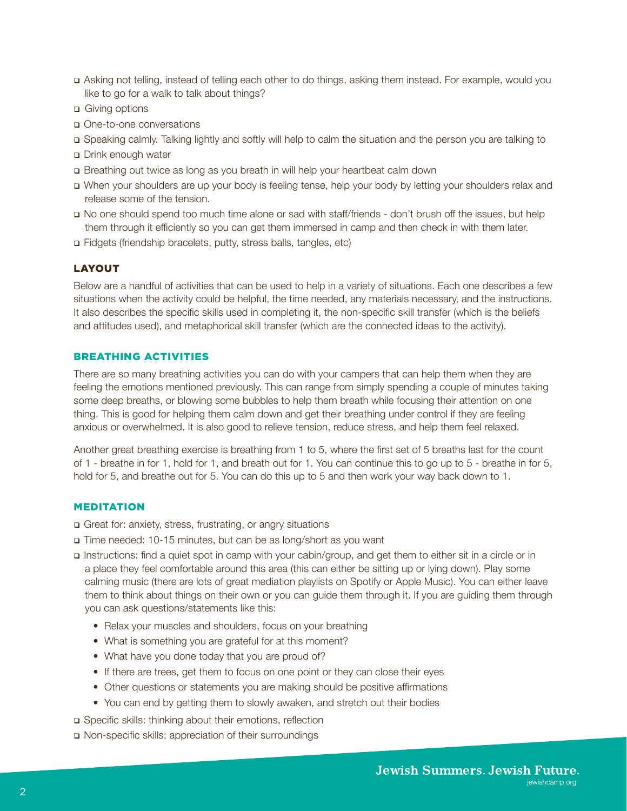- Asking not telling, instead of telling each other to do things, asking them instead. For example, would you like to go for a walk to talk about things?
- □ Giving options
- One-to-one conversations
- Speaking calmly. Talking lightly and softly will help to calm the situation and the person you are talking to
- Drink enough water
- Breathing out twice as long as you breath in will help your heartbeat calm down
- When your shoulders are up your body is feeling tense, help your body by letting your shoulders relax and release some of the tension.
- No one should spend too much time alone or sad with staff/friends don't brush off the issues, but help them through it efficiently so you can get them immersed in camp and then check in with them later.
- Fidgets (friendship bracelets, putty, stress balls, tangles, etc)

#### LAYOUT

Below are a handful of activities that can be used to help in a variety of situations. Each one describes a few situations when the activity could be helpful, the time needed, any materials necessary, and the instructions. It also describes the specific skills used in completing it, the non-specific skill transfer (which is the beliefs and attitudes used), and metaphorical skill transfer (which are the connected ideas to the activity).

#### BREATHING ACTIVITIES

There are so many breathing activities you can do with your campers that can help them when they are feeling the emotions mentioned previously. This can range from simply spending a couple of minutes taking some deep breaths, or blowing some bubbles to help them breath while focusing their attention on one thing. This is good for helping them calm down and get their breathing under control if they are feeling anxious or overwhelmed. It is also good to relieve tension, reduce stress, and help them feel relaxed.

Another great breathing exercise is breathing from 1 to 5, where the first set of 5 breaths last for the count of 1 - breathe in for 1, hold for 1, and breath out for 1. You can continue this to go up to 5 - breathe in for 5, hold for 5, and breathe out for 5. You can do this up to 5 and then work your way back down to 1.

# MEDITATION

- Great for: anxiety, stress, frustrating, or angry situations
- Time needed: 10-15 minutes, but can be as long/short as you want
- Instructions: find a quiet spot in camp with your cabin/group, and get them to either sit in a circle or in a place they feel comfortable around this area (this can either be sitting up or lying down). Play some calming music (there are lots of great mediation playlists on Spotify or Apple Music). You can either leave them to think about things on their own or you can guide them through it. If you are guiding them through you can ask questions/statements like this:
	- Relax your muscles and shoulders, focus on your breathing
	- What is something you are grateful for at this moment?
	- What have you done today that you are proud of?
	- If there are trees, get them to focus on one point or they can close their eyes
	- Other questions or statements you are making should be positive affirmations
	- You can end by getting them to slowly awaken, and stretch out their bodies
- Specific skills: thinking about their emotions, reflection
- Non-specific skills: appreciation of their surroundings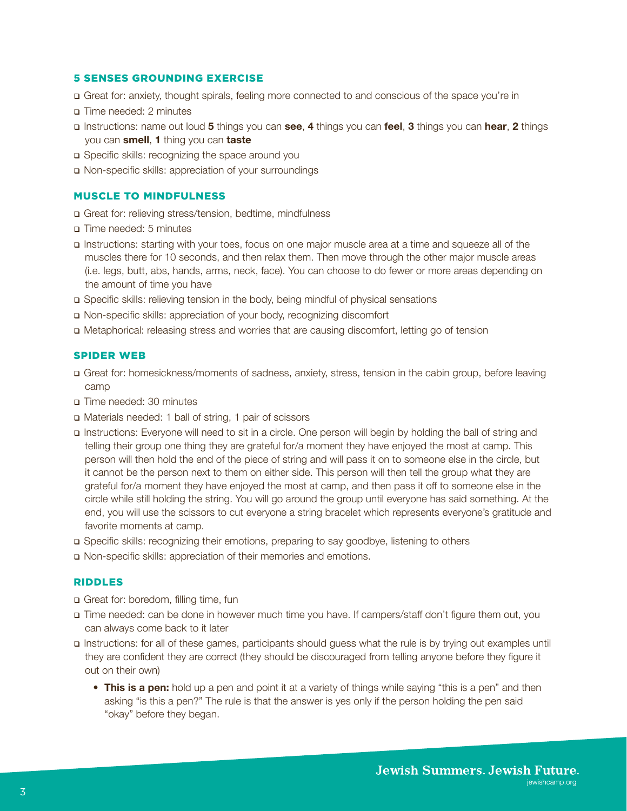#### 5 SENSES GROUNDING EXERCISE

- Great for: anxiety, thought spirals, feeling more connected to and conscious of the space you're in
- Time needed: 2 minutes
- Instructions: name out loud **5** things you can **see**, **4** things you can **feel**, **3** things you can **hear**, **2** things you can **smell**, **1** thing you can **taste**
- □ Specific skills: recognizing the space around you
- Non-specific skills: appreciation of your surroundings

#### MUSCLE TO MINDFULNESS

- Great for: relieving stress/tension, bedtime, mindfulness
- Time needed: 5 minutes
- Instructions: starting with your toes, focus on one major muscle area at a time and squeeze all of the muscles there for 10 seconds, and then relax them. Then move through the other major muscle areas (i.e. legs, butt, abs, hands, arms, neck, face). You can choose to do fewer or more areas depending on the amount of time you have
- Specific skills: relieving tension in the body, being mindful of physical sensations
- Non-specific skills: appreciation of your body, recognizing discomfort
- Metaphorical: releasing stress and worries that are causing discomfort, letting go of tension

# SPIDER WEB

- Great for: homesickness/moments of sadness, anxiety, stress, tension in the cabin group, before leaving camp
- Time needed: 30 minutes
- Materials needed: 1 ball of string, 1 pair of scissors
- Instructions: Everyone will need to sit in a circle. One person will begin by holding the ball of string and telling their group one thing they are grateful for/a moment they have enjoyed the most at camp. This person will then hold the end of the piece of string and will pass it on to someone else in the circle, but it cannot be the person next to them on either side. This person will then tell the group what they are grateful for/a moment they have enjoyed the most at camp, and then pass it off to someone else in the circle while still holding the string. You will go around the group until everyone has said something. At the end, you will use the scissors to cut everyone a string bracelet which represents everyone's gratitude and favorite moments at camp.
- Specific skills: recognizing their emotions, preparing to say goodbye, listening to others
- Non-specific skills: appreciation of their memories and emotions.

#### RIDDLES

- Great for: boredom, filling time, fun
- Time needed: can be done in however much time you have. If campers/staff don't figure them out, you can always come back to it later
- Instructions: for all of these games, participants should guess what the rule is by trying out examples until they are confident they are correct (they should be discouraged from telling anyone before they figure it out on their own)
	- **This is a pen:** hold up a pen and point it at a variety of things while saying "this is a pen" and then asking "is this a pen?" The rule is that the answer is yes only if the person holding the pen said "okay" before they began.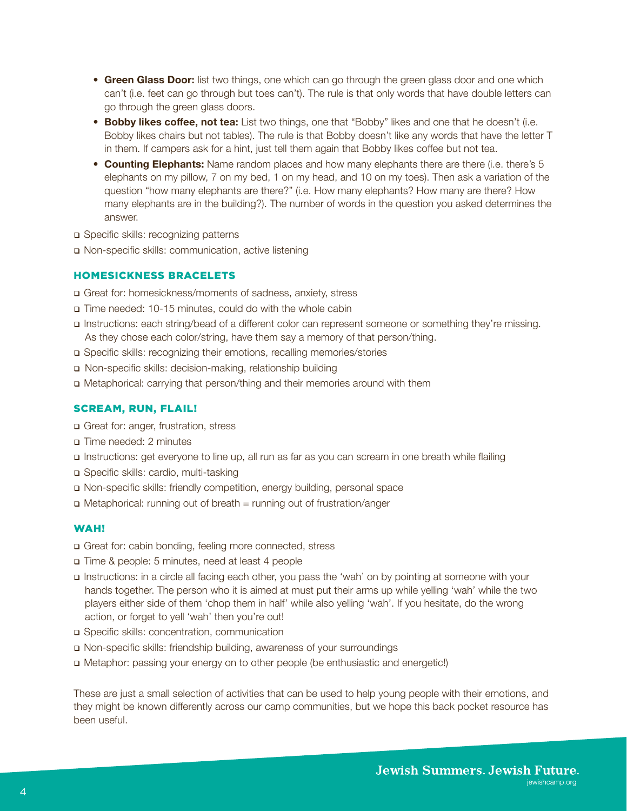- **Green Glass Door:** list two things, one which can go through the green glass door and one which can't (i.e. feet can go through but toes can't). The rule is that only words that have double letters can go through the green glass doors.
- **Bobby likes coffee, not tea:** List two things, one that "Bobby" likes and one that he doesn't (i.e. Bobby likes chairs but not tables). The rule is that Bobby doesn't like any words that have the letter T in them. If campers ask for a hint, just tell them again that Bobby likes coffee but not tea.
- **Counting Elephants:** Name random places and how many elephants there are there (i.e. there's 5 elephants on my pillow, 7 on my bed, 1 on my head, and 10 on my toes). Then ask a variation of the question "how many elephants are there?" (i.e. How many elephants? How many are there? How many elephants are in the building?). The number of words in the question you asked determines the answer.
- □ Specific skills: recognizing patterns
- Non-specific skills: communication, active listening

### HOMESICKNESS BRACELETS

- Great for: homesickness/moments of sadness, anxiety, stress
- Time needed: 10-15 minutes, could do with the whole cabin
- Instructions: each string/bead of a different color can represent someone or something they're missing. As they chose each color/string, have them say a memory of that person/thing.
- Specific skills: recognizing their emotions, recalling memories/stories
- Non-specific skills: decision-making, relationship building
- Metaphorical: carrying that person/thing and their memories around with them

#### SCREAM, RUN, FLAIL!

- Great for: anger, frustration, stress
- Time needed: 2 minutes
- Instructions: get everyone to line up, all run as far as you can scream in one breath while flailing
- □ Specific skills: cardio, multi-tasking
- Non-specific skills: friendly competition, energy building, personal space
- Metaphorical: running out of breath = running out of frustration/anger

#### WAH!

- Great for: cabin bonding, feeling more connected, stress
- Time & people: 5 minutes, need at least 4 people
- Instructions: in a circle all facing each other, you pass the 'wah' on by pointing at someone with your hands together. The person who it is aimed at must put their arms up while yelling 'wah' while the two players either side of them 'chop them in half' while also yelling 'wah'. If you hesitate, do the wrong action, or forget to yell 'wah' then you're out!
- Specific skills: concentration, communication
- Non-specific skills: friendship building, awareness of your surroundings
- Metaphor: passing your energy on to other people (be enthusiastic and energetic!)

These are just a small selection of activities that can be used to help young people with their emotions, and they might be known differently across our camp communities, but we hope this back pocket resource has been useful.